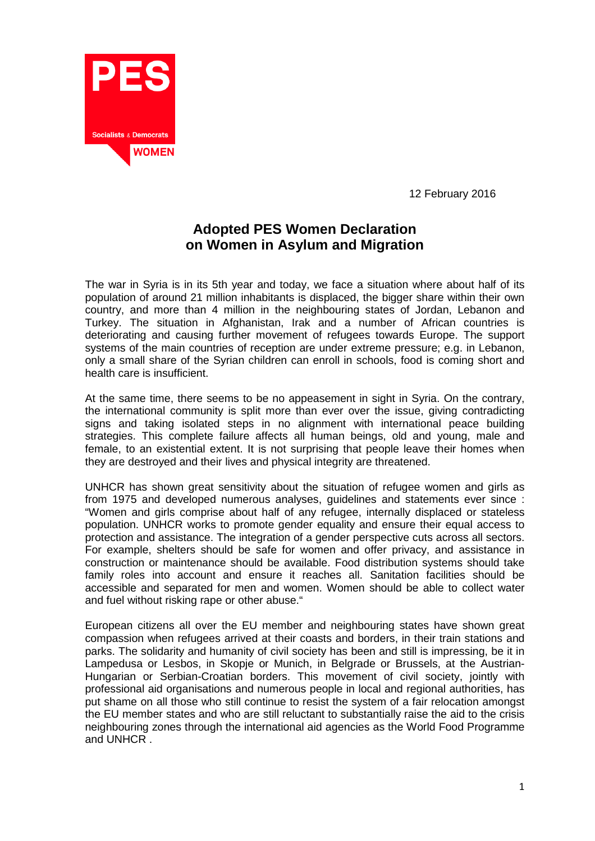

12 February 2016

## **Adopted PES Women Declaration on Women in Asylum and Migration**

The war in Syria is in its 5th year and today, we face a situation where about half of its population of around 21 million inhabitants is displaced, the bigger share within their own country, and more than 4 million in the neighbouring states of Jordan, Lebanon and Turkey. The situation in Afghanistan, Irak and a number of African countries is deteriorating and causing further movement of refugees towards Europe. The support systems of the main countries of reception are under extreme pressure; e.g. in Lebanon, only a small share of the Syrian children can enroll in schools, food is coming short and health care is insufficient.

At the same time, there seems to be no appeasement in sight in Syria. On the contrary, the international community is split more than ever over the issue, giving contradicting signs and taking isolated steps in no alignment with international peace building strategies. This complete failure affects all human beings, old and young, male and female, to an existential extent. It is not surprising that people leave their homes when they are destroyed and their lives and physical integrity are threatened.

UNHCR has shown great sensitivity about the situation of refugee women and girls as from 1975 and developed numerous analyses, guidelines and statements ever since : "Women and girls comprise about half of any refugee, internally displaced or stateless population. UNHCR works to promote gender equality and ensure their equal access to protection and assistance. The integration of a gender perspective cuts across all sectors. For example, shelters should be safe for women and offer privacy, and assistance in construction or maintenance should be available. Food distribution systems should take family roles into account and ensure it reaches all. Sanitation facilities should be accessible and separated for men and women. Women should be able to collect water and fuel without risking rape or other abuse."

European citizens all over the EU member and neighbouring states have shown great compassion when refugees arrived at their coasts and borders, in their train stations and parks. The solidarity and humanity of civil society has been and still is impressing, be it in Lampedusa or Lesbos, in Skopje or Munich, in Belgrade or Brussels, at the Austrian-Hungarian or Serbian-Croatian borders. This movement of civil society, jointly with professional aid organisations and numerous people in local and regional authorities, has put shame on all those who still continue to resist the system of a fair relocation amongst the EU member states and who are still reluctant to substantially raise the aid to the crisis neighbouring zones through the international aid agencies as the World Food Programme and UNHCR .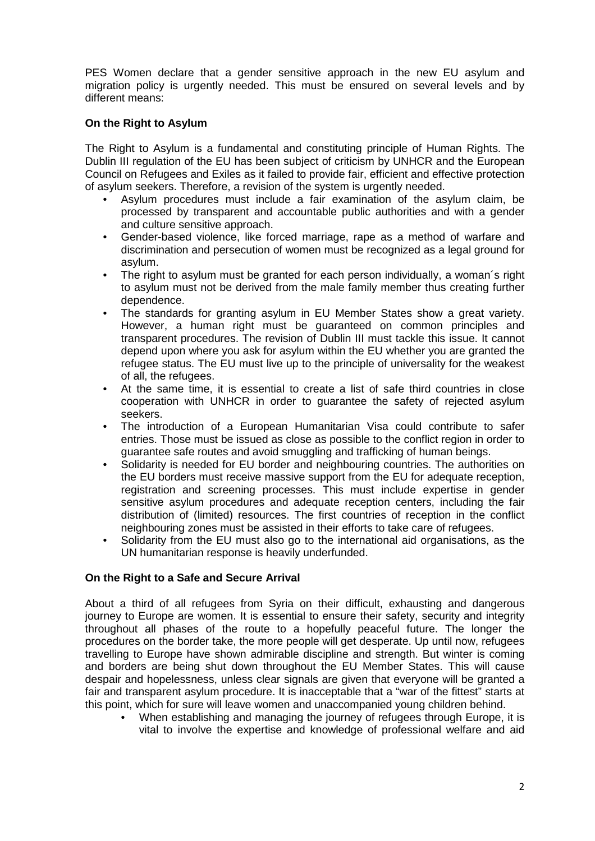PES Women declare that a gender sensitive approach in the new EU asylum and migration policy is urgently needed. This must be ensured on several levels and by different means:

## **On the Right to Asylum**

The Right to Asylum is a fundamental and constituting principle of Human Rights. The Dublin III regulation of the EU has been subject of criticism by UNHCR and the European Council on Refugees and Exiles as it failed to provide fair, efficient and effective protection of asylum seekers. Therefore, a revision of the system is urgently needed.

- Asylum procedures must include a fair examination of the asylum claim, be processed by transparent and accountable public authorities and with a gender and culture sensitive approach.
- Gender-based violence, like forced marriage, rape as a method of warfare and discrimination and persecution of women must be recognized as a legal ground for asylum.
- The right to asylum must be granted for each person individually, a woman's right to asylum must not be derived from the male family member thus creating further dependence.
- The standards for granting asylum in EU Member States show a great variety. However, a human right must be guaranteed on common principles and transparent procedures. The revision of Dublin III must tackle this issue. It cannot depend upon where you ask for asylum within the EU whether you are granted the refugee status. The EU must live up to the principle of universality for the weakest of all, the refugees.
- At the same time, it is essential to create a list of safe third countries in close cooperation with UNHCR in order to guarantee the safety of rejected asylum seekers.
- The introduction of a European Humanitarian Visa could contribute to safer entries. Those must be issued as close as possible to the conflict region in order to guarantee safe routes and avoid smuggling and trafficking of human beings.
- Solidarity is needed for EU border and neighbouring countries. The authorities on the EU borders must receive massive support from the EU for adequate reception, registration and screening processes. This must include expertise in gender sensitive asylum procedures and adequate reception centers, including the fair distribution of (limited) resources. The first countries of reception in the conflict neighbouring zones must be assisted in their efforts to take care of refugees.
- Solidarity from the EU must also go to the international aid organisations, as the UN humanitarian response is heavily underfunded.

## **On the Right to a Safe and Secure Arrival**

About a third of all refugees from Syria on their difficult, exhausting and dangerous journey to Europe are women. It is essential to ensure their safety, security and integrity throughout all phases of the route to a hopefully peaceful future. The longer the procedures on the border take, the more people will get desperate. Up until now, refugees travelling to Europe have shown admirable discipline and strength. But winter is coming and borders are being shut down throughout the EU Member States. This will cause despair and hopelessness, unless clear signals are given that everyone will be granted a fair and transparent asylum procedure. It is inacceptable that a "war of the fittest" starts at this point, which for sure will leave women and unaccompanied young children behind.

• When establishing and managing the journey of refugees through Europe, it is vital to involve the expertise and knowledge of professional welfare and aid